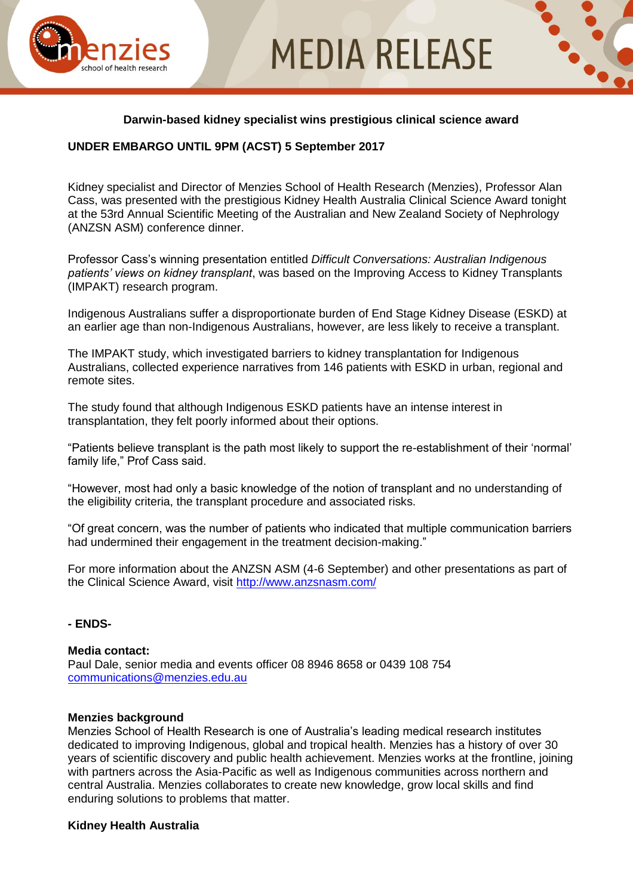# **MEDIA RELEASE**



### **Darwin-based kidney specialist wins prestigious clinical science award**

## **UNDER EMBARGO UNTIL 9PM (ACST) 5 September 2017**

Kidney specialist and Director of Menzies School of Health Research (Menzies), Professor Alan Cass, was presented with the prestigious Kidney Health Australia Clinical Science Award tonight at the 53rd Annual Scientific Meeting of the Australian and New Zealand Society of Nephrology (ANZSN ASM) conference dinner.

Professor Cass's winning presentation entitled *Difficult Conversations: Australian Indigenous patients' views on kidney transplant*, was based on the Improving Access to Kidney Transplants (IMPAKT) research program.

Indigenous Australians suffer a disproportionate burden of End Stage Kidney Disease (ESKD) at an earlier age than non-Indigenous Australians, however, are less likely to receive a transplant.

The IMPAKT study, which investigated barriers to kidney transplantation for Indigenous Australians, collected experience narratives from 146 patients with ESKD in urban, regional and remote sites.

The study found that although Indigenous ESKD patients have an intense interest in transplantation, they felt poorly informed about their options.

"Patients believe transplant is the path most likely to support the re-establishment of their 'normal' family life," Prof Cass said.

"However, most had only a basic knowledge of the notion of transplant and no understanding of the eligibility criteria, the transplant procedure and associated risks.

"Of great concern, was the number of patients who indicated that multiple communication barriers had undermined their engagement in the treatment decision-making."

For more information about the ANZSN ASM (4-6 September) and other presentations as part of the Clinical Science Award, visit<http://www.anzsnasm.com/>

#### **- ENDS-**

#### **Media contact:**

Paul Dale, senior media and events officer 08 8946 8658 or 0439 108 754 [communications@menzies.edu.au](mailto:communications@menzies.edu.au)

#### **Menzies background**

Menzies School of Health Research is one of Australia's leading medical research institutes dedicated to improving Indigenous, global and tropical health. Menzies has a history of over 30 years of scientific discovery and public health achievement. Menzies works at the frontline, joining with partners across the Asia-Pacific as well as Indigenous communities across northern and central Australia. Menzies collaborates to create new knowledge, grow local skills and find enduring solutions to problems that matter.

#### **Kidney Health Australia**